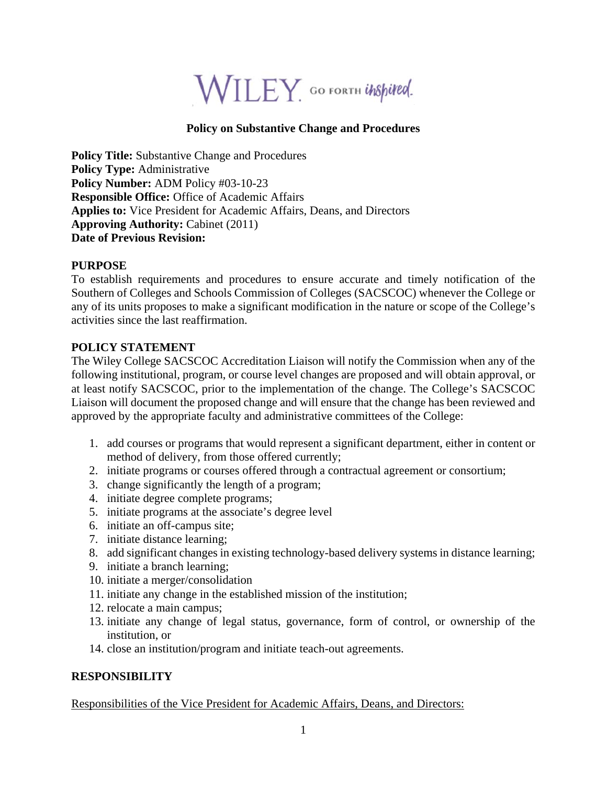

## **Policy on Substantive Change and Procedures**

**Policy Title:** Substantive Change and Procedures **Policy Type:** Administrative **Policy Number:** ADM Policy #03-10-23 **Responsible Office:** Office of Academic Affairs **Applies to:** Vice President for Academic Affairs, Deans, and Directors **Approving Authority:** Cabinet (2011) **Date of Previous Revision:** 

#### **PURPOSE**

To establish requirements and procedures to ensure accurate and timely notification of the Southern of Colleges and Schools Commission of Colleges (SACSCOC) whenever the College or any of its units proposes to make a significant modification in the nature or scope of the College's activities since the last reaffirmation.

#### **POLICY STATEMENT**

The Wiley College SACSCOC Accreditation Liaison will notify the Commission when any of the following institutional, program, or course level changes are proposed and will obtain approval, or at least notify SACSCOC, prior to the implementation of the change. The College's SACSCOC Liaison will document the proposed change and will ensure that the change has been reviewed and approved by the appropriate faculty and administrative committees of the College:

- 1. add courses or programs that would represent a significant department, either in content or method of delivery, from those offered currently;
- 2. initiate programs or courses offered through a contractual agreement or consortium;
- 3. change significantly the length of a program;
- 4. initiate degree complete programs;
- 5. initiate programs at the associate's degree level
- 6. initiate an off-campus site;
- 7. initiate distance learning;
- 8. add significant changes in existing technology-based delivery systems in distance learning;
- 9. initiate a branch learning;
- 10. initiate a merger/consolidation
- 11. initiate any change in the established mission of the institution;
- 12. relocate a main campus;
- 13. initiate any change of legal status, governance, form of control, or ownership of the institution, or
- 14. close an institution/program and initiate teach-out agreements.

### **RESPONSIBILITY**

Responsibilities of the Vice President for Academic Affairs, Deans, and Directors: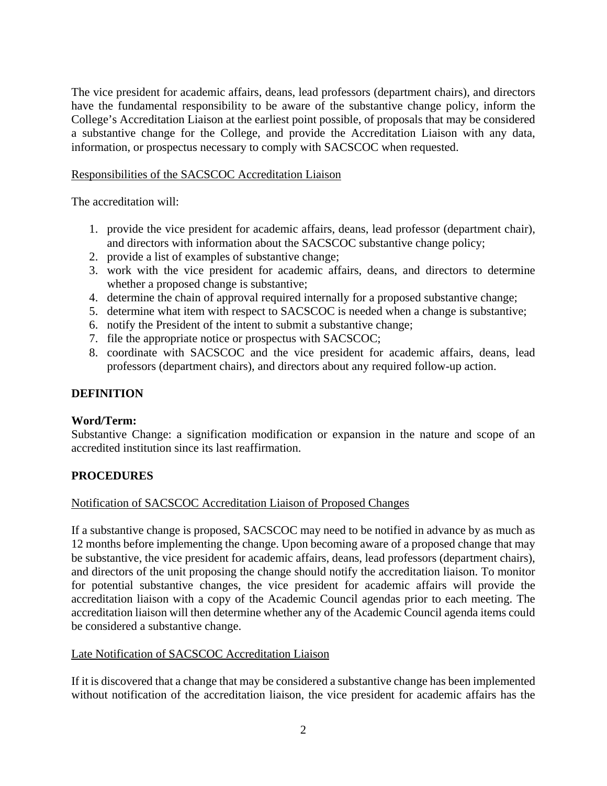The vice president for academic affairs, deans, lead professors (department chairs), and directors have the fundamental responsibility to be aware of the substantive change policy, inform the College's Accreditation Liaison at the earliest point possible, of proposals that may be considered a substantive change for the College, and provide the Accreditation Liaison with any data, information, or prospectus necessary to comply with SACSCOC when requested.

## Responsibilities of the SACSCOC Accreditation Liaison

The accreditation will:

- 1. provide the vice president for academic affairs, deans, lead professor (department chair), and directors with information about the SACSCOC substantive change policy;
- 2. provide a list of examples of substantive change;
- 3. work with the vice president for academic affairs, deans, and directors to determine whether a proposed change is substantive;
- 4. determine the chain of approval required internally for a proposed substantive change;
- 5. determine what item with respect to SACSCOC is needed when a change is substantive;
- 6. notify the President of the intent to submit a substantive change;
- 7. file the appropriate notice or prospectus with SACSCOC;
- 8. coordinate with SACSCOC and the vice president for academic affairs, deans, lead professors (department chairs), and directors about any required follow-up action.

## **DEFINITION**

#### **Word/Term:**

Substantive Change: a signification modification or expansion in the nature and scope of an accredited institution since its last reaffirmation.

# **PROCEDURES**

#### Notification of SACSCOC Accreditation Liaison of Proposed Changes

If a substantive change is proposed, SACSCOC may need to be notified in advance by as much as 12 months before implementing the change. Upon becoming aware of a proposed change that may be substantive, the vice president for academic affairs, deans, lead professors (department chairs), and directors of the unit proposing the change should notify the accreditation liaison. To monitor for potential substantive changes, the vice president for academic affairs will provide the accreditation liaison with a copy of the Academic Council agendas prior to each meeting. The accreditation liaison will then determine whether any of the Academic Council agenda items could be considered a substantive change.

#### Late Notification of SACSCOC Accreditation Liaison

If it is discovered that a change that may be considered a substantive change has been implemented without notification of the accreditation liaison, the vice president for academic affairs has the